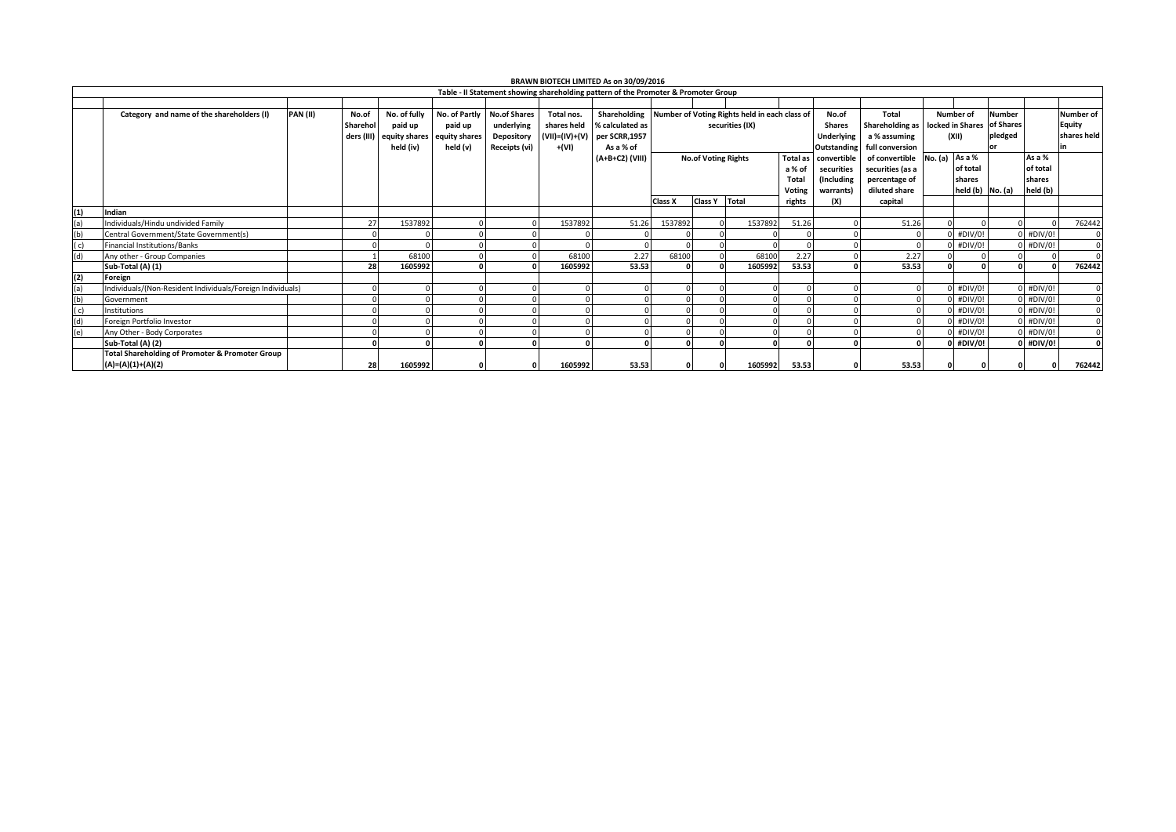| BRAWN BIOTECH LIMITED As on 30/09/2016                                             |                                                            |                  |               |               |                     |                |                 |                            |                 |                                                            |                 |                    |                  |                                                |                      |         |             |                  |
|------------------------------------------------------------------------------------|------------------------------------------------------------|------------------|---------------|---------------|---------------------|----------------|-----------------|----------------------------|-----------------|------------------------------------------------------------|-----------------|--------------------|------------------|------------------------------------------------|----------------------|---------|-------------|------------------|
| Table - II Statement showing shareholding pattern of the Promoter & Promoter Group |                                                            |                  |               |               |                     |                |                 |                            |                 |                                                            |                 |                    |                  |                                                |                      |         |             |                  |
|                                                                                    |                                                            |                  |               |               |                     |                |                 |                            |                 |                                                            |                 |                    |                  |                                                |                      |         |             |                  |
|                                                                                    | Category and name of the shareholders (I)                  | PAN(II)<br>No.of | No. of fully  | No. of Partly | <b>No.of Shares</b> | Total nos.     |                 |                            |                 | Shareholding Number of Voting Rights held in each class of |                 | No.of              | <b>Total</b>     |                                                | Number of            | Number  |             | <b>Number of</b> |
|                                                                                    |                                                            | Sharehol         | paid up       | paid up       | underlying          | shares held    | % calculated as | securities (IX)            |                 |                                                            |                 | <b>Shares</b>      |                  | Shareholding as   locked in Shares   of Shares |                      |         |             | Equity           |
|                                                                                    |                                                            | ders (III)       | equity shares | equity shares | Depository          | (VII)=(IV)+(V) | per SCRR,1957   |                            |                 |                                                            |                 | <b>Underlying</b>  | a % assuming     |                                                | (XII)                | pledged |             | shares held      |
|                                                                                    |                                                            |                  | held (iv)     | held (v)      | Receipts (vi)       | +(VI)          | As a % of       |                            |                 |                                                            |                 | <b>Outstanding</b> | full conversion  |                                                |                      | or      |             |                  |
|                                                                                    |                                                            |                  |               |               |                     |                | (A+B+C2) (VIII) | <b>No.of Voting Rights</b> |                 |                                                            | <b>Total as</b> | convertible        | of convertible   | No. (a)                                        | As a %               |         | As a %      |                  |
|                                                                                    |                                                            |                  |               |               |                     |                |                 |                            |                 |                                                            | a % of          | securities         | securities (as a |                                                | of total             |         | of total    |                  |
|                                                                                    |                                                            |                  |               |               |                     |                |                 |                            |                 |                                                            | Total           | (Including         | percentage of    |                                                | shares               |         | shares      |                  |
|                                                                                    |                                                            |                  |               |               |                     |                |                 |                            |                 |                                                            | Voting          | warrants)          | diluted share    |                                                | held $(b)$ No. $(a)$ |         | held (b)    |                  |
|                                                                                    |                                                            |                  |               |               |                     |                |                 | Class X                    | Class Y   Total |                                                            | rights          | (X)                | capital          |                                                |                      |         |             |                  |
| (1)                                                                                | Indian                                                     |                  |               |               |                     |                |                 |                            |                 |                                                            |                 |                    |                  |                                                |                      |         |             |                  |
| (a)                                                                                | Individuals/Hindu undivided Family                         | 27               | 1537892       |               |                     | 1537892        | 51.26           | 1537892                    |                 | 1537892                                                    | 51.26           |                    | 51.26            |                                                |                      |         |             | 762442           |
| (b)                                                                                | Central Government/State Government(s)                     |                  |               |               |                     |                |                 |                            |                 |                                                            |                 |                    |                  |                                                | $0$ #DIV/0!          |         | $0$ #DIV/0! |                  |
| (C)                                                                                | <b>Financial Institutions/Banks</b>                        |                  |               |               |                     |                |                 |                            |                 |                                                            |                 |                    |                  |                                                | $0$ #DIV/0!          |         | $0$ #DIV/0! |                  |
| (d)                                                                                | Any other - Group Companies                                |                  | 68100         |               |                     | 68100          | 2.27            | 68100                      |                 | 68100                                                      | 2.27            |                    | 2.27             |                                                |                      |         |             |                  |
|                                                                                    | Sub-Total (A) (1)                                          | 28               | 1605992       |               |                     | 1605992        | 53.53           |                            |                 | 1605992                                                    | 53.53           |                    | 53.53            |                                                |                      |         | $\Omega$    | 762442           |
| (2)                                                                                | Foreign                                                    |                  |               |               |                     |                |                 |                            |                 |                                                            |                 |                    |                  |                                                |                      |         |             |                  |
| (a)                                                                                | Individuals/(Non-Resident Individuals/Foreign Individuals) |                  |               |               |                     |                |                 |                            |                 |                                                            |                 |                    |                  |                                                | $0$ #DIV/0!          |         | $0$ #DIV/0! |                  |
| (b)                                                                                | Government                                                 |                  |               |               |                     |                |                 |                            |                 |                                                            |                 |                    |                  |                                                | $0$ #DIV/0!          |         | $0$ #DIV/0! |                  |
| (c)                                                                                | Institutions                                               |                  |               |               |                     |                |                 |                            |                 |                                                            |                 |                    |                  |                                                | $0$ #DIV/0!          |         | $0$ #DIV/0! |                  |
| (d)                                                                                | Foreign Portfolio Investor                                 |                  |               |               |                     |                |                 |                            |                 |                                                            |                 |                    |                  |                                                | $0$ #DIV/0!          |         | $0$ #DIV/0! |                  |
| (e)                                                                                | Any Other - Body Corporates                                |                  |               |               |                     |                |                 |                            |                 |                                                            |                 |                    |                  |                                                | $0$ #DIV/0!          |         | $0$ #DIV/0! |                  |
|                                                                                    | Sub-Total (A) (2)                                          |                  |               |               |                     |                |                 |                            |                 | 0                                                          |                 |                    |                  |                                                | $0$ #DIV/0!          |         | $0$ #DIV/0! |                  |
|                                                                                    | <b>Total Shareholding of Promoter &amp; Promoter Group</b> |                  |               |               |                     |                |                 |                            |                 |                                                            |                 |                    |                  |                                                |                      |         |             |                  |
|                                                                                    | (A)=(A)(1)+(A)(2)                                          | 28               | 1605992       |               |                     | 1605992        | 53.53           |                            |                 | 1605992                                                    | 53.53           |                    | 53.53            |                                                |                      |         |             | 762442           |